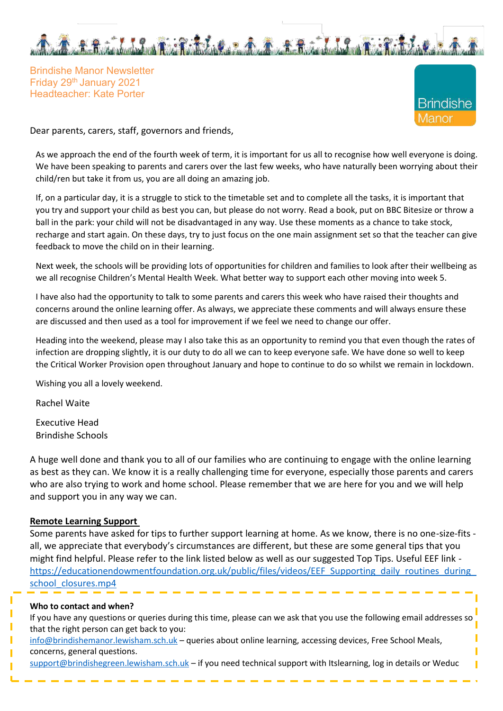

Brindishe Manor Newsletter Friday 29th January 2021 Headteacher: Kate Porter



Dear parents, carers, staff, governors and friends,

As we approach the end of the fourth week of term, it is important for us all to recognise how well everyone is doing. We have been speaking to parents and carers over the last few weeks, who have naturally been worrying about their child/ren but take it from us, you are all doing an amazing job.

If, on a particular day, it is a struggle to stick to the timetable set and to complete all the tasks, it is important that you try and support your child as best you can, but please do not worry. Read a book, put on BBC Bitesize or throw a ball in the park: your child will not be disadvantaged in any way. Use these moments as a chance to take stock, recharge and start again. On these days, try to just focus on the one main assignment set so that the teacher can give feedback to move the child on in their learning.

Next week, the schools will be providing lots of opportunities for children and families to look after their wellbeing as we all recognise Children's Mental Health Week. What better way to support each other moving into week 5.

I have also had the opportunity to talk to some parents and carers this week who have raised their thoughts and concerns around the online learning offer. As always, we appreciate these comments and will always ensure these are discussed and then used as a tool for improvement if we feel we need to change our offer.

Heading into the weekend, please may I also take this as an opportunity to remind you that even though the rates of infection are dropping slightly, it is our duty to do all we can to keep everyone safe. We have done so well to keep the Critical Worker Provision open throughout January and hope to continue to do so whilst we remain in lockdown.

Wishing you all a lovely weekend.

Rachel Waite

Executive Head Brindishe Schools

A huge well done and thank you to all of our families who are continuing to engage with the online learning as best as they can. We know it is a really challenging time for everyone, especially those parents and carers who are also trying to work and home school. Please remember that we are here for you and we will help and support you in any way we can.

#### **Remote Learning Support**

Some parents have asked for tips to further support learning at home. As we know, there is no one-size-fits all, we appreciate that everybody's circumstances are different, but these are some general tips that you might find helpful. Please refer to the link listed below as well as our suggested Top Tips. Useful EEF link [https://educationendowmentfoundation.org.uk/public/files/videos/EEF\\_Supporting\\_daily\\_routines\\_during\\_](https://educationendowmentfoundation.org.uk/public/files/videos/EEF_Supporting_daily_routines_during_school_closures.mp4)  [school\\_closures.mp4](https://educationendowmentfoundation.org.uk/public/files/videos/EEF_Supporting_daily_routines_during_school_closures.mp4)

#### **Who to contact and when?**

| If you have any questions or queries during this time, please can we ask that you use the following email addresses so |
|------------------------------------------------------------------------------------------------------------------------|
| that the right person can get back to you:                                                                             |

[info@brindishemanor.lewisham.sch.uk](mailto:info@brindishemanor.lewisham.sch.uk) – queries about online learning, accessing devices, Free School Meals, concerns, general questions.

[support@brindishegreen.lewisham.sch.uk](mailto:support@brindishegreen.lewisham.sch.uk) – if you need technical support with Itslearning, log in details or Weduc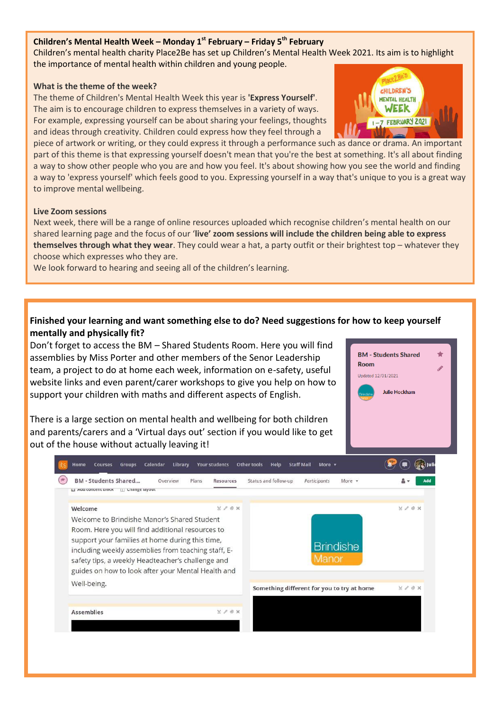#### **Children's Mental Health Week – Monday 1st February – Friday 5th February**

Children's mental health charity Place2Be has set up Children's Mental Health Week 2021. Its aim is to highlight the importance of mental health within children and young people.

#### **What is the theme of the week?**

The theme of Children's Mental Health Week this year is **'Express Yourself'**. The aim is to encourage children to express themselves in a variety of ways. For example, expressing yourself can be about sharing your feelings, thoughts and ideas through creativity. Children could express how they feel through a

piece of artwork or writing, or they could express it through a performance such as dance or drama. An important part of this theme is that expressing yourself doesn't mean that you're the best at something. It's all about finding a way to show other people who you are and how you feel. It's about showing how you see the world and finding a way to 'express yourself' which feels good to you. Expressing yourself in a way that's unique to you is a great way to improve mental wellbeing.

#### **Live Zoom sessions**

Next week, there will be a range of online resources uploaded which recognise children's mental health on our shared learning page and the focus of our '**live' zoom sessions will include the children being able to express themselves through what they wear**. They could wear a hat, a party outfit or their brightest top – whatever they choose which expresses who they are.

We look forward to hearing and seeing all of the children's learning.

### **Finished your learning and want something else to do? Need suggestions for how to keep yourself mentally and physically fit?**

Don't forget to access the BM – Shared Students Room. Here you will find assemblies by Miss Porter and other members of the Senor Leadership team, a project to do at home each week, information on e-safety, useful website links and even parent/carer workshops to give you help on how to support your children with maths and different aspects of English.

There is a large section on mental health and wellbeing for both children and parents/carers and a 'Virtual days out' section if you would like to get out of the house without actually leaving it!

| Welcome<br>Welcome to Brindishe Manor's Shared Student<br>Room. Here you will find additional resources to<br>support your families at home during this time,<br>including weekly assemblies from teaching staff, E-<br>safety tips, a weekly Headteacher's challenge and | $Y \times B X$ |                                            | $X \times B X$ |
|---------------------------------------------------------------------------------------------------------------------------------------------------------------------------------------------------------------------------------------------------------------------------|----------------|--------------------------------------------|----------------|
| guides on how to look after your Mental Health and                                                                                                                                                                                                                        |                | <b>Brindishe</b><br>Manor                  |                |
| Well-being.                                                                                                                                                                                                                                                               |                | Something different for you to try at home | $X \times 0 X$ |



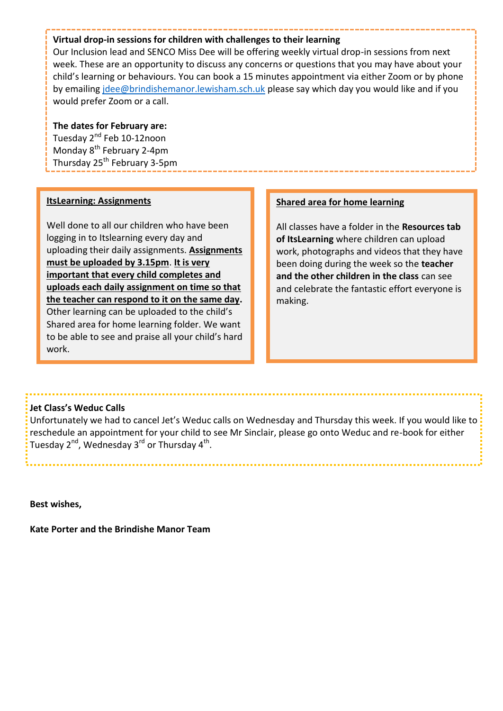#### **Virtual drop-in sessions for children with challenges to their learning**

Our Inclusion lead and SENCO Miss Dee will be offering weekly virtual drop-in sessions from next week. These are an opportunity to discuss any concerns or questions that you may have about your child's learning or behaviours. You can book a 15 minutes appointment via either Zoom or by phone by emailing [jdee@brindishemanor.lewisham.sch.uk p](mailto:jdee@brindishemanor.lewisham.sch.uk)lease say which day you would like and if you would prefer Zoom or a call.

#### **The dates for February are:**

Tuesday 2<sup>nd</sup> Feb 10-12noon Monday 8<sup>th</sup> February 2-4pm Thursday 25<sup>th</sup> February 3-5pm

#### **ItsLearning: Assignments**

Well done to all our children who have been logging in to Itslearning every day and uploading their daily assignments. **Assignments must be uploaded by 3.15pm**. **It is very important that every child completes and uploads each daily assignment on time so that the teacher can respond to it on the same day.**  Other learning can be uploaded to the child's Shared area for home learning folder. We want to be able to see and praise all your child's hard work.

#### **Shared area for home learning**

All classes have a folder in the **Resources tab of ItsLearning** where children can upload work, photographs and videos that they have been doing during the week so the **teacher and the other children in the class** can see and celebrate the fantastic effort everyone is making.

#### **Jet Class's Weduc Calls**

Unfortunately we had to cancel Jet's Weduc calls on Wednesday and Thursday this week. If you would like to reschedule an appointment for your child to see Mr Sinclair, please go onto Weduc and re-book for either Tuesday 2<sup>nd</sup>, Wednesday 3<sup>rd</sup> or Thursday 4<sup>th</sup>.

**Best wishes,** 

**Kate Porter and the Brindishe Manor Team**